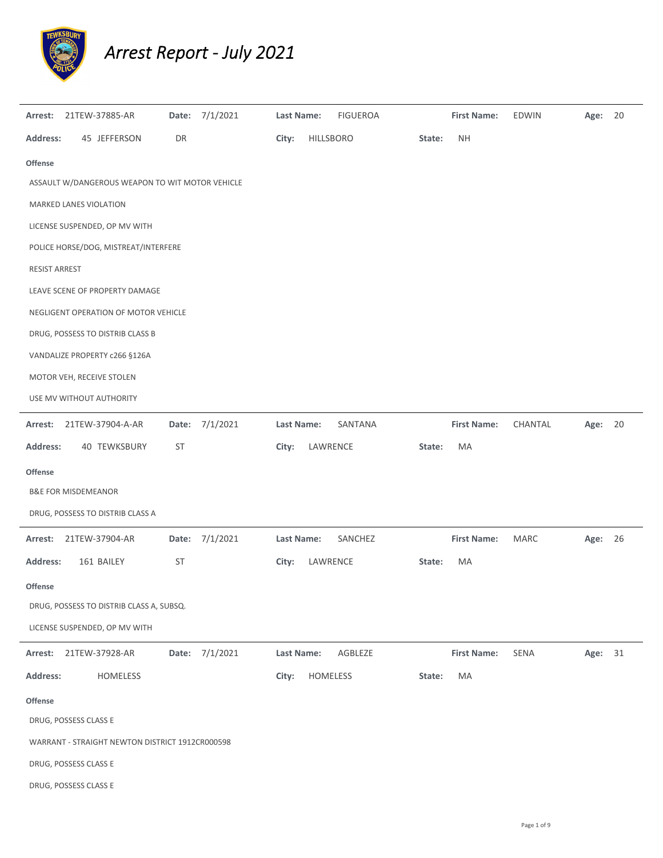

## *Arrest Report ‐ July 2021*

| Arrest:                        |  | 21TEW-37885-AR                                  |           | Date: 7/1/2021 | <b>Last Name:</b> |           | <b>FIGUEROA</b> |        | <b>First Name:</b> | <b>EDWIN</b> | Age:    | 20 |
|--------------------------------|--|-------------------------------------------------|-----------|----------------|-------------------|-----------|-----------------|--------|--------------------|--------------|---------|----|
| <b>Address:</b>                |  | 45 JEFFERSON                                    | DR        |                | City:             | HILLSBORO |                 | State: | <b>NH</b>          |              |         |    |
| Offense                        |  |                                                 |           |                |                   |           |                 |        |                    |              |         |    |
|                                |  | ASSAULT W/DANGEROUS WEAPON TO WIT MOTOR VEHICLE |           |                |                   |           |                 |        |                    |              |         |    |
| MARKED LANES VIOLATION         |  |                                                 |           |                |                   |           |                 |        |                    |              |         |    |
|                                |  | LICENSE SUSPENDED, OP MV WITH                   |           |                |                   |           |                 |        |                    |              |         |    |
|                                |  | POLICE HORSE/DOG, MISTREAT/INTERFERE            |           |                |                   |           |                 |        |                    |              |         |    |
| RESIST ARREST                  |  |                                                 |           |                |                   |           |                 |        |                    |              |         |    |
|                                |  | LEAVE SCENE OF PROPERTY DAMAGE                  |           |                |                   |           |                 |        |                    |              |         |    |
|                                |  | NEGLIGENT OPERATION OF MOTOR VEHICLE            |           |                |                   |           |                 |        |                    |              |         |    |
|                                |  | DRUG, POSSESS TO DISTRIB CLASS B                |           |                |                   |           |                 |        |                    |              |         |    |
|                                |  | VANDALIZE PROPERTY c266 §126A                   |           |                |                   |           |                 |        |                    |              |         |    |
|                                |  | MOTOR VEH, RECEIVE STOLEN                       |           |                |                   |           |                 |        |                    |              |         |    |
|                                |  | USE MV WITHOUT AUTHORITY                        |           |                |                   |           |                 |        |                    |              |         |    |
| Arrest:                        |  | 21TEW-37904-A-AR                                |           | Date: 7/1/2021 | Last Name:        |           | SANTANA         |        | <b>First Name:</b> | CHANTAL      | Age:    | 20 |
| <b>Address:</b>                |  | 40 TEWKSBURY                                    | <b>ST</b> |                | City:             | LAWRENCE  |                 | State: | MA                 |              |         |    |
| Offense                        |  |                                                 |           |                |                   |           |                 |        |                    |              |         |    |
| <b>B&amp;E FOR MISDEMEANOR</b> |  |                                                 |           |                |                   |           |                 |        |                    |              |         |    |
|                                |  | DRUG, POSSESS TO DISTRIB CLASS A                |           |                |                   |           |                 |        |                    |              |         |    |
| Arrest:                        |  | 21TEW-37904-AR                                  |           | Date: 7/1/2021 | Last Name:        |           | SANCHEZ         |        | <b>First Name:</b> | MARC         | Age: 26 |    |
| <b>Address:</b>                |  | 161 BAILEY                                      | <b>ST</b> |                | City:             | LAWRENCE  |                 | State: | MA                 |              |         |    |
| Offense                        |  |                                                 |           |                |                   |           |                 |        |                    |              |         |    |
|                                |  | DRUG, POSSESS TO DISTRIB CLASS A, SUBSQ.        |           |                |                   |           |                 |        |                    |              |         |    |
|                                |  | LICENSE SUSPENDED, OP MV WITH                   |           |                |                   |           |                 |        |                    |              |         |    |
| Arrest:                        |  | 21TEW-37928-AR                                  |           | Date: 7/1/2021 | Last Name:        |           | AGBLEZE         |        | <b>First Name:</b> | SENA         | Age: 31 |    |
| <b>Address:</b>                |  | <b>HOMELESS</b>                                 |           |                | City:             | HOMELESS  |                 | State: | MA                 |              |         |    |
| Offense                        |  |                                                 |           |                |                   |           |                 |        |                    |              |         |    |
| DRUG, POSSESS CLASS E          |  |                                                 |           |                |                   |           |                 |        |                    |              |         |    |
|                                |  | WARRANT - STRAIGHT NEWTON DISTRICT 1912CR000598 |           |                |                   |           |                 |        |                    |              |         |    |
| DRUG, POSSESS CLASS E          |  |                                                 |           |                |                   |           |                 |        |                    |              |         |    |
| DRUG, POSSESS CLASS E          |  |                                                 |           |                |                   |           |                 |        |                    |              |         |    |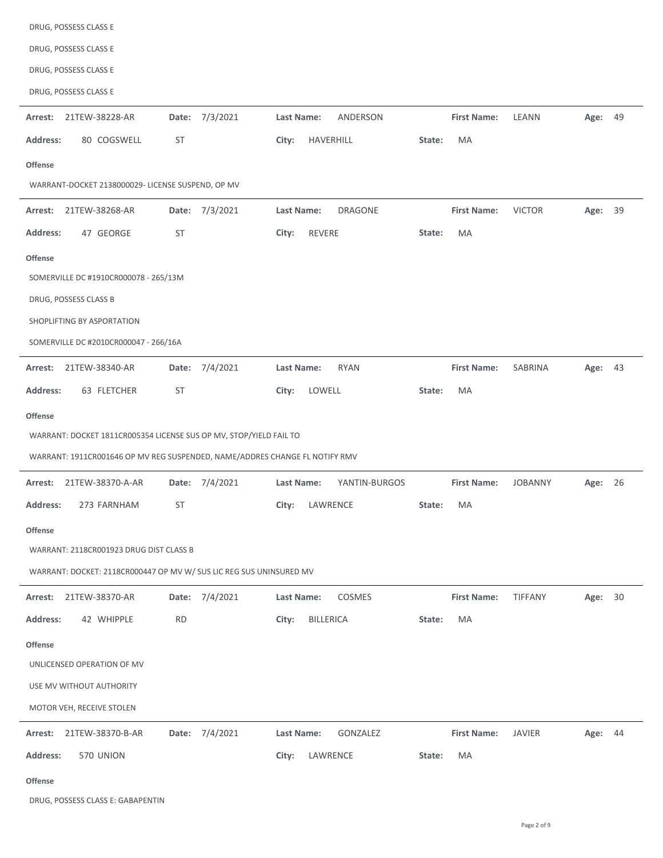| DRUG, POSSESS CLASS E                                                       |                   |                               |                    |                |         |
|-----------------------------------------------------------------------------|-------------------|-------------------------------|--------------------|----------------|---------|
| DRUG, POSSESS CLASS E                                                       |                   |                               |                    |                |         |
| DRUG, POSSESS CLASS E                                                       |                   |                               |                    |                |         |
| DRUG, POSSESS CLASS E                                                       |                   |                               |                    |                |         |
| Arrest:<br>21TEW-38228-AR                                                   | 7/3/2021<br>Date: | <b>Last Name:</b><br>ANDERSON | <b>First Name:</b> | LEANN          | Age: 49 |
| <b>Address:</b><br>80 COGSWELL                                              | ST                | City:<br>HAVERHILL            | MA<br>State:       |                |         |
| <b>Offense</b>                                                              |                   |                               |                    |                |         |
| WARRANT-DOCKET 2138000029- LICENSE SUSPEND, OP MV                           |                   |                               |                    |                |         |
| 21TEW-38268-AR<br>Arrest:                                                   | Date: 7/3/2021    | <b>DRAGONE</b><br>Last Name:  | <b>First Name:</b> | <b>VICTOR</b>  | Age: 39 |
| <b>Address:</b><br>47 GEORGE                                                | <b>ST</b>         | City:<br>REVERE               | State:<br>MA       |                |         |
| <b>Offense</b>                                                              |                   |                               |                    |                |         |
| SOMERVILLE DC #1910CR000078 - 265/13M                                       |                   |                               |                    |                |         |
| DRUG, POSSESS CLASS B                                                       |                   |                               |                    |                |         |
| SHOPLIFTING BY ASPORTATION                                                  |                   |                               |                    |                |         |
| SOMERVILLE DC #2010CR000047 - 266/16A                                       |                   |                               |                    |                |         |
| 21TEW-38340-AR<br>Arrest:                                                   | 7/4/2021<br>Date: | <b>RYAN</b><br>Last Name:     | <b>First Name:</b> | SABRINA        | Age: 43 |
| 63 FLETCHER<br><b>Address:</b>                                              | <b>ST</b>         | LOWELL<br>City:               | MA<br>State:       |                |         |
| <b>Offense</b>                                                              |                   |                               |                    |                |         |
| WARRANT: DOCKET 1811CR005354 LICENSE SUS OP MV, STOP/YIELD FAIL TO          |                   |                               |                    |                |         |
| WARRANT: 1911CR001646 OP MV REG SUSPENDED, NAME/ADDRES CHANGE FL NOTIFY RMV |                   |                               |                    |                |         |
| 21TEW-38370-A-AR<br>Arrest:                                                 | Date: 7/4/2021    | Last Name:<br>YANTIN-BURGOS   | <b>First Name:</b> | <b>JOBANNY</b> | Age: 26 |
| <b>Address:</b><br>273 FARNHAM                                              | <b>ST</b>         | City:<br>LAWRENCE             | State:<br>МA       |                |         |
| <b>Offense</b>                                                              |                   |                               |                    |                |         |
| WARRANT: 2118CR001923 DRUG DIST CLASS B                                     |                   |                               |                    |                |         |
| WARRANT: DOCKET: 2118CR000447 OP MV W/ SUS LIC REG SUS UNINSURED MV         |                   |                               |                    |                |         |
| Arrest:<br>21TEW-38370-AR                                                   | Date: 7/4/2021    | Last Name:<br>COSMES          | <b>First Name:</b> | TIFFANY        | Age: 30 |
| <b>Address:</b><br>42 WHIPPLE                                               | <b>RD</b>         | <b>BILLERICA</b><br>City:     | MA<br>State:       |                |         |
| <b>Offense</b>                                                              |                   |                               |                    |                |         |
| UNLICENSED OPERATION OF MV                                                  |                   |                               |                    |                |         |
| USE MV WITHOUT AUTHORITY                                                    |                   |                               |                    |                |         |
| MOTOR VEH, RECEIVE STOLEN                                                   |                   |                               |                    |                |         |
|                                                                             |                   |                               |                    |                |         |
| 21TEW-38370-B-AR<br>Arrest:                                                 | Date: 7/4/2021    | Last Name:<br>GONZALEZ        | <b>First Name:</b> | <b>JAVIER</b>  | Age: 44 |
| <b>Address:</b><br>570 UNION                                                |                   | LAWRENCE<br>City:             | State:<br>MA       |                |         |

DRUG, POSSESS CLASS E: GABAPENTIN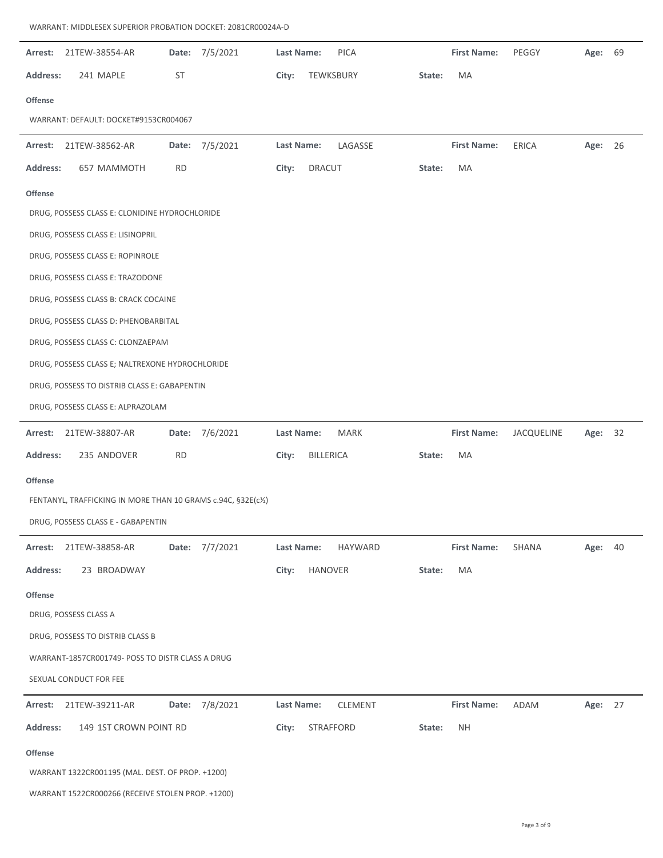| Arrest:         | 21TEW-38554-AR                                                |           | Date: 7/5/2021 | Last Name:        | <b>PICA</b>    |        | <b>First Name:</b> | PEGGY      | Age:    | 69 |
|-----------------|---------------------------------------------------------------|-----------|----------------|-------------------|----------------|--------|--------------------|------------|---------|----|
| <b>Address:</b> | 241 MAPLE                                                     | <b>ST</b> |                | City:             | TEWKSBURY      | State: | MA                 |            |         |    |
| Offense         |                                                               |           |                |                   |                |        |                    |            |         |    |
|                 | WARRANT: DEFAULT: DOCKET#9153CR004067                         |           |                |                   |                |        |                    |            |         |    |
| Arrest:         | 21TEW-38562-AR                                                |           | Date: 7/5/2021 | <b>Last Name:</b> | LAGASSE        |        | <b>First Name:</b> | ERICA      | Age: 26 |    |
| <b>Address:</b> | 657 MAMMOTH                                                   | <b>RD</b> |                | City:             | <b>DRACUT</b>  | State: | MA                 |            |         |    |
| Offense         |                                                               |           |                |                   |                |        |                    |            |         |    |
|                 | DRUG, POSSESS CLASS E: CLONIDINE HYDROCHLORIDE                |           |                |                   |                |        |                    |            |         |    |
|                 | DRUG, POSSESS CLASS E: LISINOPRIL                             |           |                |                   |                |        |                    |            |         |    |
|                 | DRUG, POSSESS CLASS E: ROPINROLE                              |           |                |                   |                |        |                    |            |         |    |
|                 | DRUG, POSSESS CLASS E: TRAZODONE                              |           |                |                   |                |        |                    |            |         |    |
|                 | DRUG, POSSESS CLASS B: CRACK COCAINE                          |           |                |                   |                |        |                    |            |         |    |
|                 | DRUG, POSSESS CLASS D: PHENOBARBITAL                          |           |                |                   |                |        |                    |            |         |    |
|                 | DRUG, POSSESS CLASS C: CLONZAEPAM                             |           |                |                   |                |        |                    |            |         |    |
|                 | DRUG, POSSESS CLASS E; NALTREXONE HYDROCHLORIDE               |           |                |                   |                |        |                    |            |         |    |
|                 | DRUG, POSSESS TO DISTRIB CLASS E: GABAPENTIN                  |           |                |                   |                |        |                    |            |         |    |
|                 | DRUG, POSSESS CLASS E: ALPRAZOLAM                             |           |                |                   |                |        |                    |            |         |    |
|                 |                                                               |           |                |                   |                |        |                    |            |         |    |
| Arrest:         | 21TEW-38807-AR                                                |           | Date: 7/6/2021 | <b>Last Name:</b> | <b>MARK</b>    |        | <b>First Name:</b> | JACQUELINE | Age:    | 32 |
| <b>Address:</b> | 235 ANDOVER                                                   | <b>RD</b> |                | City:             | BILLERICA      | State: | МA                 |            |         |    |
| Offense         |                                                               |           |                |                   |                |        |                    |            |         |    |
|                 | FENTANYL, TRAFFICKING IN MORE THAN 10 GRAMS c.94C, §32E(c1/2) |           |                |                   |                |        |                    |            |         |    |
|                 | DRUG, POSSESS CLASS E - GABAPENTIN                            |           |                |                   |                |        |                    |            |         |    |
| Arrest:         | 21TEW-38858-AR                                                |           | Date: 7/7/2021 | <b>Last Name:</b> | <b>HAYWARD</b> |        | <b>First Name:</b> | SHANA      | Age:    | 40 |
| <b>Address:</b> | 23 BROADWAY                                                   |           |                | City:             | <b>HANOVER</b> | State: | MA                 |            |         |    |
| Offense         |                                                               |           |                |                   |                |        |                    |            |         |    |
|                 | DRUG, POSSESS CLASS A                                         |           |                |                   |                |        |                    |            |         |    |
|                 | DRUG, POSSESS TO DISTRIB CLASS B                              |           |                |                   |                |        |                    |            |         |    |
|                 | WARRANT-1857CR001749- POSS TO DISTR CLASS A DRUG              |           |                |                   |                |        |                    |            |         |    |
|                 | SEXUAL CONDUCT FOR FEE                                        |           |                |                   |                |        |                    |            |         |    |
| Arrest:         | 21TEW-39211-AR                                                |           | Date: 7/8/2021 | Last Name:        | CLEMENT        |        | <b>First Name:</b> | ADAM       | Age: 27 |    |
| <b>Address:</b> | 149 1ST CROWN POINT RD                                        |           |                | City:             | STRAFFORD      | State: | <b>NH</b>          |            |         |    |
| Offense         |                                                               |           |                |                   |                |        |                    |            |         |    |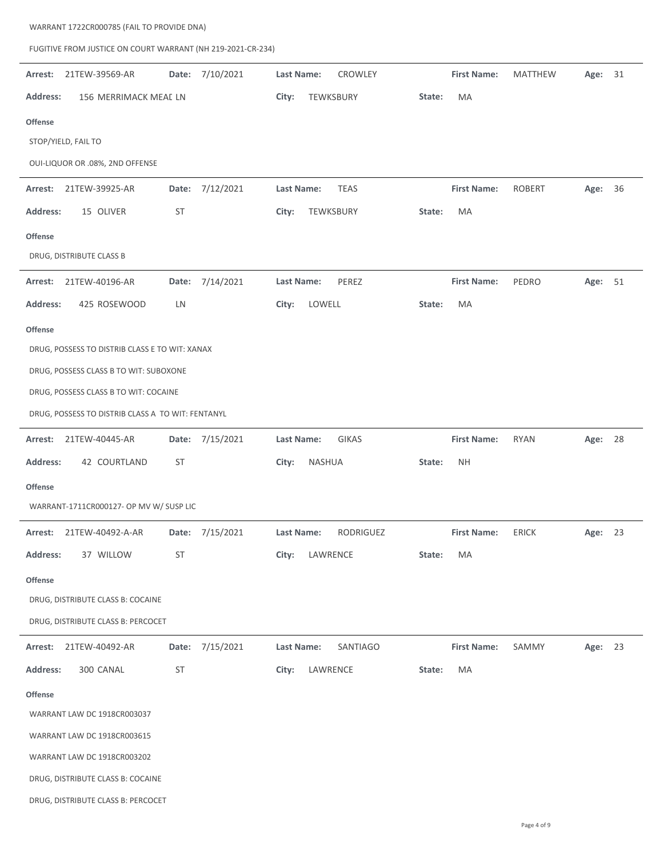| FUGITIVE FROM JUSTICE ON COURT WARRANT (NH 219-2021-CR-234) |                 |                              |                    |                |            |
|-------------------------------------------------------------|-----------------|------------------------------|--------------------|----------------|------------|
| 21TEW-39569-AR<br>Arrest:                                   | Date: 7/10/2021 | Last Name:<br><b>CROWLEY</b> | <b>First Name:</b> | <b>MATTHEW</b> | Age:<br>31 |
| <b>Address:</b><br>156 MERRIMACK MEAL LN                    |                 | City:<br>TEWKSBURY           | State:<br>MA       |                |            |
| <b>Offense</b>                                              |                 |                              |                    |                |            |
| STOP/YIELD, FAIL TO                                         |                 |                              |                    |                |            |
| OUI-LIQUOR OR .08%, 2ND OFFENSE                             |                 |                              |                    |                |            |
| Arrest: 21TEW-39925-AR                                      | Date: 7/12/2021 | Last Name:<br><b>TEAS</b>    | <b>First Name:</b> | <b>ROBERT</b>  | Age: 36    |
| <b>Address:</b><br>15 OLIVER                                | ST              | City:<br>TEWKSBURY           | MA<br>State:       |                |            |
| <b>Offense</b>                                              |                 |                              |                    |                |            |
| DRUG, DISTRIBUTE CLASS B                                    |                 |                              |                    |                |            |
| 21TEW-40196-AR<br>Arrest:                                   | Date: 7/14/2021 | PEREZ<br><b>Last Name:</b>   | <b>First Name:</b> | PEDRO          | Age: 51    |
| <b>Address:</b><br>425 ROSEWOOD                             | LN              | LOWELL<br>City:              | MA<br>State:       |                |            |
| <b>Offense</b>                                              |                 |                              |                    |                |            |
| DRUG, POSSESS TO DISTRIB CLASS E TO WIT: XANAX              |                 |                              |                    |                |            |
| DRUG, POSSESS CLASS B TO WIT: SUBOXONE                      |                 |                              |                    |                |            |
| DRUG, POSSESS CLASS B TO WIT: COCAINE                       |                 |                              |                    |                |            |
| DRUG, POSSESS TO DISTRIB CLASS A TO WIT: FENTANYL           |                 |                              |                    |                |            |
| 21TEW-40445-AR<br>Arrest:                                   | Date: 7/15/2021 | Last Name:<br><b>GIKAS</b>   | <b>First Name:</b> | <b>RYAN</b>    | Age: 28    |
| <b>Address:</b><br>42 COURTLAND                             | ST              | NASHUA<br>City:              | NΗ<br>State:       |                |            |
| <b>Offense</b>                                              |                 |                              |                    |                |            |
| WARRANT-1711CR000127- OP MV W/ SUSP LIC                     |                 |                              |                    |                |            |
| Arrest: 21TEW-40492-A-AR                                    | Date: 7/15/2021 | RODRIGUEZ<br>Last Name:      | <b>First Name:</b> | ERICK          | Age: 23    |
| 37 WILLOW<br><b>Address:</b>                                | ST              | LAWRENCE<br>City:            | MA<br>State:       |                |            |
| <b>Offense</b>                                              |                 |                              |                    |                |            |
| DRUG, DISTRIBUTE CLASS B: COCAINE                           |                 |                              |                    |                |            |
| DRUG, DISTRIBUTE CLASS B: PERCOCET                          |                 |                              |                    |                |            |
| Arrest: 21TEW-40492-AR                                      | Date: 7/15/2021 | SANTIAGO<br>Last Name:       | <b>First Name:</b> | SAMMY          | Age: 23    |
| <b>Address:</b><br>300 CANAL                                | ST              | LAWRENCE<br>City:            | MA<br>State:       |                |            |
| <b>Offense</b>                                              |                 |                              |                    |                |            |
| WARRANT LAW DC 1918CR003037                                 |                 |                              |                    |                |            |
| WARRANT LAW DC 1918CR003615                                 |                 |                              |                    |                |            |
| WARRANT LAW DC 1918CR003202                                 |                 |                              |                    |                |            |
| DRUG, DISTRIBUTE CLASS B: COCAINE                           |                 |                              |                    |                |            |
| DRUG, DISTRIBUTE CLASS B: PERCOCET                          |                 |                              |                    |                |            |

WARRANT 1722CR000785 (FAIL TO PROVIDE DNA)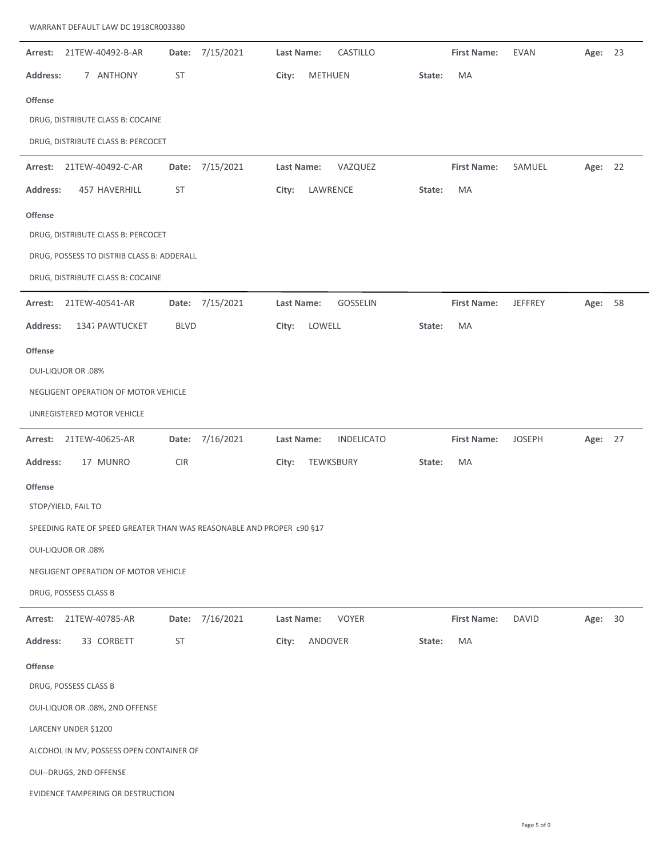| 21TEW-40492-B-AR<br>Arrest:                                           | 7/15/2021<br>Date: | Last Name:<br>CASTILLO          | <b>First Name:</b><br><b>EVAN</b>    | 23<br>Age: |
|-----------------------------------------------------------------------|--------------------|---------------------------------|--------------------------------------|------------|
| Address:<br>7 ANTHONY                                                 | ST                 | City:<br>METHUEN                | State:<br>MA                         |            |
| Offense                                                               |                    |                                 |                                      |            |
| DRUG, DISTRIBUTE CLASS B: COCAINE                                     |                    |                                 |                                      |            |
| DRUG, DISTRIBUTE CLASS B: PERCOCET                                    |                    |                                 |                                      |            |
| 21TEW-40492-C-AR<br>Arrest:                                           | 7/15/2021<br>Date: | VAZQUEZ<br>Last Name:           | <b>First Name:</b><br>SAMUEL         | 22<br>Age: |
| <b>Address:</b><br>457 HAVERHILL                                      | <b>ST</b>          | LAWRENCE<br>City:               | MA<br>State:                         |            |
|                                                                       |                    |                                 |                                      |            |
| Offense<br>DRUG, DISTRIBUTE CLASS B: PERCOCET                         |                    |                                 |                                      |            |
| DRUG, POSSESS TO DISTRIB CLASS B: ADDERALL                            |                    |                                 |                                      |            |
| DRUG, DISTRIBUTE CLASS B: COCAINE                                     |                    |                                 |                                      |            |
|                                                                       |                    |                                 |                                      |            |
| Arrest:<br>21TEW-40541-AR                                             | Date: 7/15/2021    | GOSSELIN<br>Last Name:          | <b>First Name:</b><br><b>JEFFREY</b> | 58<br>Age: |
| 1347 PAWTUCKET<br>Address:                                            | <b>BLVD</b>        | LOWELL<br>City:                 | MA<br>State:                         |            |
| Offense                                                               |                    |                                 |                                      |            |
| <b>OUI-LIQUOR OR .08%</b>                                             |                    |                                 |                                      |            |
| NEGLIGENT OPERATION OF MOTOR VEHICLE                                  |                    |                                 |                                      |            |
| UNREGISTERED MOTOR VEHICLE                                            |                    |                                 |                                      |            |
| 21TEW-40625-AR<br>Arrest:                                             | Date: 7/16/2021    | <b>INDELICATO</b><br>Last Name: | <b>First Name:</b><br><b>JOSEPH</b>  | Age: 27    |
| Address:<br>17 MUNRO                                                  | <b>CIR</b>         | TEWKSBURY<br>City:              | MA<br>State:                         |            |
| <b>Offense</b>                                                        |                    |                                 |                                      |            |
| STOP/YIELD, FAIL TO                                                   |                    |                                 |                                      |            |
| SPEEDING RATE OF SPEED GREATER THAN WAS REASONABLE AND PROPER c90 §17 |                    |                                 |                                      |            |
| <b>OUI-LIQUOR OR .08%</b>                                             |                    |                                 |                                      |            |
| NEGLIGENT OPERATION OF MOTOR VEHICLE                                  |                    |                                 |                                      |            |
| DRUG, POSSESS CLASS B                                                 |                    |                                 |                                      |            |
| 21TEW-40785-AR<br>Arrest:                                             |                    | <b>VOYER</b><br>Last Name:      | <b>First Name:</b><br><b>DAVID</b>   | 30<br>Age: |
|                                                                       | 7/16/2021<br>Date: |                                 |                                      |            |
| <b>Address:</b><br>33 CORBETT                                         | ST                 | City:<br>ANDOVER                | State:<br>MA                         |            |
|                                                                       |                    |                                 |                                      |            |
| <b>Offense</b><br>DRUG, POSSESS CLASS B                               |                    |                                 |                                      |            |
| OUI-LIQUOR OR .08%, 2ND OFFENSE                                       |                    |                                 |                                      |            |
| LARCENY UNDER \$1200                                                  |                    |                                 |                                      |            |
| ALCOHOL IN MV, POSSESS OPEN CONTAINER OF                              |                    |                                 |                                      |            |
| OUI--DRUGS, 2ND OFFENSE                                               |                    |                                 |                                      |            |

WARRANT DEFAULT LAW DC 1918CR003380

—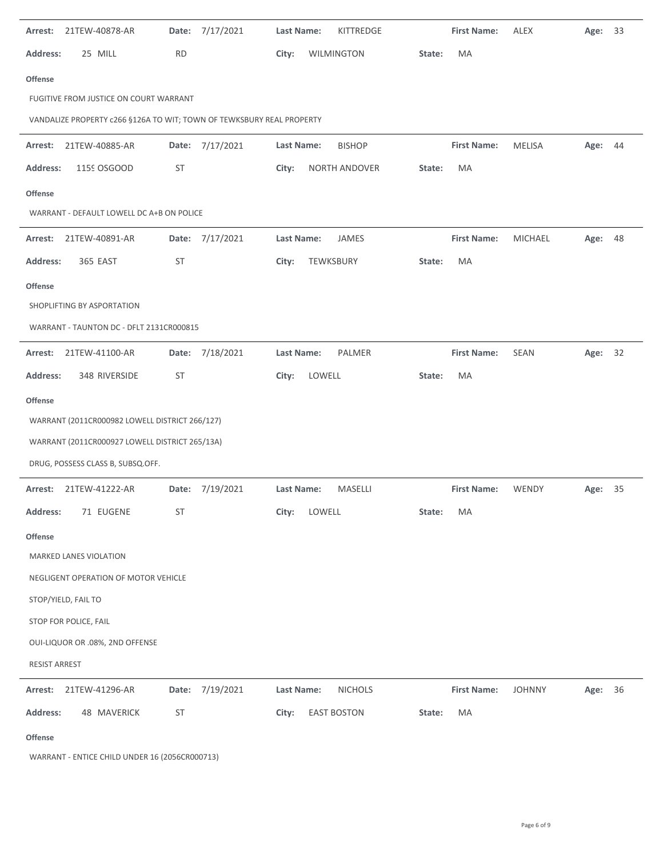| 21TEW-40878-AR<br>Arrest:                                             | Date:     | 7/17/2021       | <b>Last Name:</b> | KITTREDGE          |        | <b>First Name:</b> | <b>ALEX</b>    | Age:    | 33 |
|-----------------------------------------------------------------------|-----------|-----------------|-------------------|--------------------|--------|--------------------|----------------|---------|----|
| <b>Address:</b><br>25 MILL                                            | <b>RD</b> |                 | City:             | WILMINGTON         | State: | MA                 |                |         |    |
| <b>Offense</b>                                                        |           |                 |                   |                    |        |                    |                |         |    |
| FUGITIVE FROM JUSTICE ON COURT WARRANT                                |           |                 |                   |                    |        |                    |                |         |    |
| VANDALIZE PROPERTY c266 §126A TO WIT; TOWN OF TEWKSBURY REAL PROPERTY |           |                 |                   |                    |        |                    |                |         |    |
| Arrest: 21TEW-40885-AR                                                |           | Date: 7/17/2021 | Last Name:        | <b>BISHOP</b>      |        | <b>First Name:</b> | <b>MELISA</b>  | Age: 44 |    |
| <b>Address:</b><br>1159 OSGOOD                                        | ST        |                 | City:             | NORTH ANDOVER      | State: | MA                 |                |         |    |
| <b>Offense</b>                                                        |           |                 |                   |                    |        |                    |                |         |    |
| WARRANT - DEFAULT LOWELL DC A+B ON POLICE                             |           |                 |                   |                    |        |                    |                |         |    |
| 21TEW-40891-AR<br>Arrest:                                             |           | Date: 7/17/2021 | Last Name:        | JAMES              |        | <b>First Name:</b> | <b>MICHAEL</b> | Age:    | 48 |
| <b>Address:</b><br>365 EAST                                           | ST        |                 | City:             | TEWKSBURY          | State: | MA                 |                |         |    |
| <b>Offense</b>                                                        |           |                 |                   |                    |        |                    |                |         |    |
| SHOPLIFTING BY ASPORTATION                                            |           |                 |                   |                    |        |                    |                |         |    |
| WARRANT - TAUNTON DC - DFLT 2131CR000815                              |           |                 |                   |                    |        |                    |                |         |    |
| 21TEW-41100-AR<br>Arrest:                                             |           | Date: 7/18/2021 | Last Name:        | PALMER             |        | <b>First Name:</b> | SEAN           | Age: 32 |    |
| 348 RIVERSIDE<br><b>Address:</b>                                      | ST        |                 | LOWELL<br>City:   |                    | State: | MA                 |                |         |    |
| <b>Offense</b>                                                        |           |                 |                   |                    |        |                    |                |         |    |
| WARRANT (2011CR000982 LOWELL DISTRICT 266/127)                        |           |                 |                   |                    |        |                    |                |         |    |
| WARRANT (2011CR000927 LOWELL DISTRICT 265/13A)                        |           |                 |                   |                    |        |                    |                |         |    |
| DRUG, POSSESS CLASS B, SUBSQ.OFF.                                     |           |                 |                   |                    |        |                    |                |         |    |
| Arrest: 21TEW-41222-AR                                                |           | Date: 7/19/2021 | Last Name:        | <b>MASELLI</b>     |        | <b>First Name:</b> | WENDY          | Age: 35 |    |
| Address:<br>71 EUGENE                                                 | ST        |                 | City:<br>LOWELL   |                    | State: | MA                 |                |         |    |
| Offense                                                               |           |                 |                   |                    |        |                    |                |         |    |
| MARKED LANES VIOLATION                                                |           |                 |                   |                    |        |                    |                |         |    |
| NEGLIGENT OPERATION OF MOTOR VEHICLE                                  |           |                 |                   |                    |        |                    |                |         |    |
| STOP/YIELD, FAIL TO                                                   |           |                 |                   |                    |        |                    |                |         |    |
| STOP FOR POLICE, FAIL                                                 |           |                 |                   |                    |        |                    |                |         |    |
| OUI-LIQUOR OR .08%, 2ND OFFENSE                                       |           |                 |                   |                    |        |                    |                |         |    |
| <b>RESIST ARREST</b>                                                  |           |                 |                   |                    |        |                    |                |         |    |
| 21TEW-41296-AR<br>Arrest:                                             |           | Date: 7/19/2021 | Last Name:        | <b>NICHOLS</b>     |        | <b>First Name:</b> | <b>JOHNNY</b>  | Age: 36 |    |
| 48 MAVERICK<br>Address:                                               | ST        |                 | City:             | <b>EAST BOSTON</b> | State: | MA                 |                |         |    |
| Offense                                                               |           |                 |                   |                    |        |                    |                |         |    |

WARRANT ‐ ENTICE CHILD UNDER 16 (2056CR000713)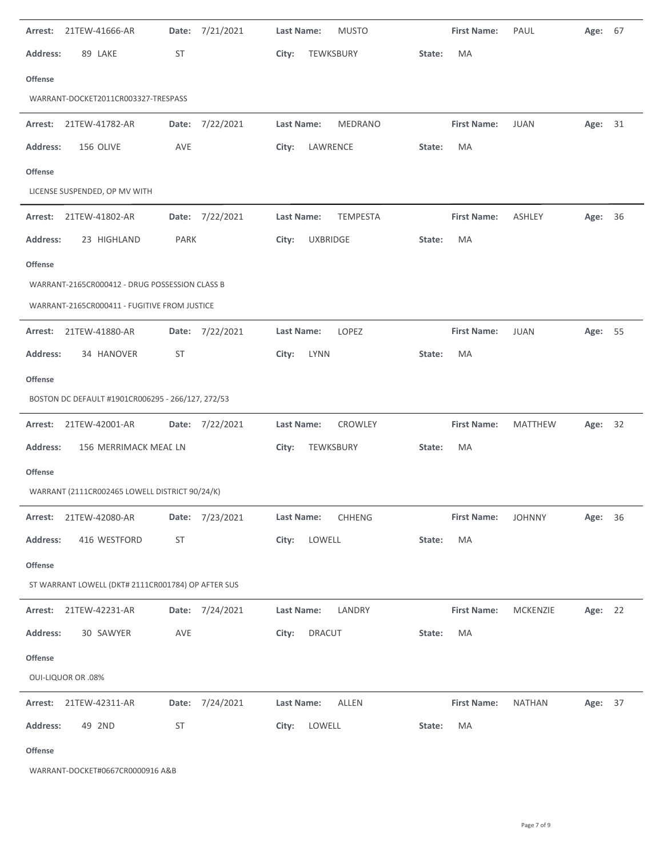| Arrest:         | 21TEW-41666-AR                                     | Date:       | 7/21/2021       | <b>Last Name:</b><br><b>MUSTO</b><br><b>First Name:</b><br>PAUL             | Age:    | 67 |
|-----------------|----------------------------------------------------|-------------|-----------------|-----------------------------------------------------------------------------|---------|----|
| <b>Address:</b> | 89 LAKE                                            | ST          |                 | City:<br>TEWKSBURY<br>MA<br>State:                                          |         |    |
| <b>Offense</b>  |                                                    |             |                 |                                                                             |         |    |
|                 | WARRANT-DOCKET2011CR003327-TRESPASS                |             |                 |                                                                             |         |    |
|                 | Arrest: 21TEW-41782-AR                             |             | Date: 7/22/2021 | MEDRANO<br>Last Name:<br><b>First Name:</b><br><b>JUAN</b>                  | Age: 31 |    |
| <b>Address:</b> | 156 OLIVE                                          | AVE         |                 | LAWRENCE<br>MA<br>City:<br>State:                                           |         |    |
| <b>Offense</b>  |                                                    |             |                 |                                                                             |         |    |
|                 | LICENSE SUSPENDED, OP MV WITH                      |             |                 |                                                                             |         |    |
| Arrest:         | 21TEW-41802-AR                                     |             | Date: 7/22/2021 | <b>Last Name:</b><br><b>TEMPESTA</b><br><b>First Name:</b><br><b>ASHLEY</b> | Age:    | 36 |
| <b>Address:</b> | 23 HIGHLAND                                        | <b>PARK</b> |                 | <b>UXBRIDGE</b><br>MA<br>City:<br>State:                                    |         |    |
| <b>Offense</b>  |                                                    |             |                 |                                                                             |         |    |
|                 | WARRANT-2165CR000412 - DRUG POSSESSION CLASS B     |             |                 |                                                                             |         |    |
|                 | WARRANT-2165CR000411 - FUGITIVE FROM JUSTICE       |             |                 |                                                                             |         |    |
| Arrest:         | 21TEW-41880-AR                                     |             | Date: 7/22/2021 | LOPEZ<br><b>Last Name:</b><br><b>First Name:</b><br><b>JUAN</b>             | Age:    | 55 |
| <b>Address:</b> | 34 HANOVER                                         | ST          |                 | <b>LYNN</b><br>MA<br>City:<br>State:                                        |         |    |
| <b>Offense</b>  |                                                    |             |                 |                                                                             |         |    |
|                 |                                                    |             |                 |                                                                             |         |    |
|                 | BOSTON DC DEFAULT #1901CR006295 - 266/127, 272/53  |             |                 |                                                                             |         |    |
| Arrest:         | 21TEW-42001-AR                                     |             | Date: 7/22/2021 | <b>Last Name:</b><br>CROWLEY<br><b>First Name:</b><br><b>MATTHEW</b>        | Age:    | 32 |
| <b>Address:</b> | 156 MERRIMACK MEAL LN                              |             |                 | City:<br>TEWKSBURY<br>MA<br>State:                                          |         |    |
| <b>Offense</b>  |                                                    |             |                 |                                                                             |         |    |
|                 | WARRANT (2111CR002465 LOWELL DISTRICT 90/24/K)     |             |                 |                                                                             |         |    |
|                 | Arrest: 21TEW-42080-AR                             |             | Date: 7/23/2021 | <b>CHHENG</b><br>Last Name:<br><b>First Name:</b><br><b>JOHNNY</b>          | Age:    | 36 |
| <b>Address:</b> | 416 WESTFORD                                       | ST          |                 | LOWELL<br>City:<br>MA<br>State:                                             |         |    |
| <b>Offense</b>  |                                                    |             |                 |                                                                             |         |    |
|                 | ST WARRANT LOWELL (DKT# 2111CR001784) OP AFTER SUS |             |                 |                                                                             |         |    |
|                 | Arrest: 21TEW-42231-AR                             |             | Date: 7/24/2021 | Last Name:<br>LANDRY<br><b>First Name:</b><br><b>MCKENZIE</b>               | Age: 22 |    |
| <b>Address:</b> | 30 SAWYER                                          | AVE         |                 | <b>DRACUT</b><br>City:<br>State:<br>МA                                      |         |    |
| Offense         |                                                    |             |                 |                                                                             |         |    |
|                 | <b>OUI-LIQUOR OR .08%</b>                          |             |                 |                                                                             |         |    |
|                 | Arrest: 21TEW-42311-AR                             |             | Date: 7/24/2021 | <b>Last Name:</b><br><b>ALLEN</b><br><b>First Name:</b><br><b>NATHAN</b>    | Age: 37 |    |
| <b>Address:</b> | 49 2ND                                             | ST          |                 | LOWELL<br>City:<br>State:<br>MA                                             |         |    |

WARRANT‐DOCKET#0667CR0000916 A&B

J.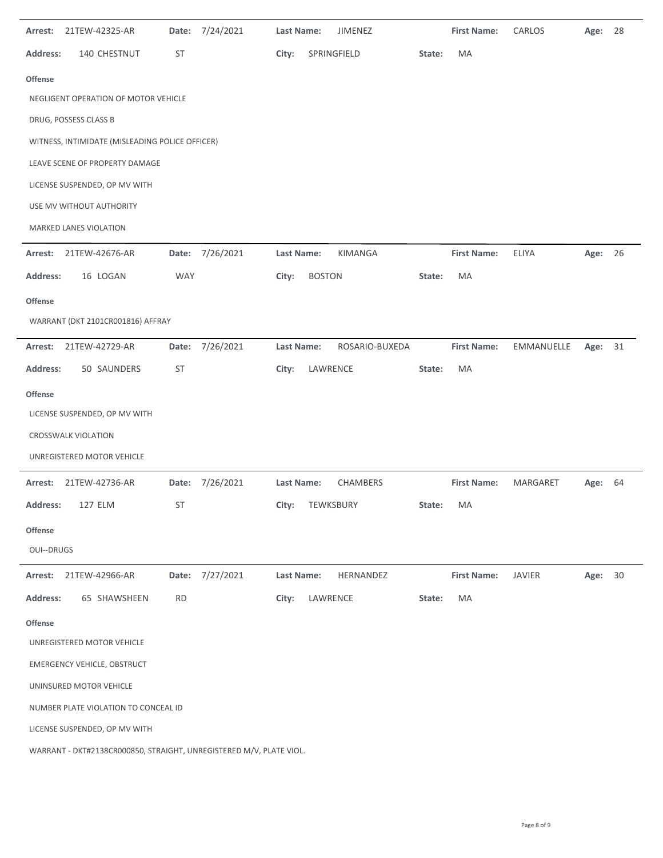| Arrest:         | 21TEW-42325-AR                                                      | Date:      | 7/24/2021       | <b>Last Name:</b> | JIMENEZ         |        | <b>First Name:</b> | CARLOS        | Age:    | 28 |
|-----------------|---------------------------------------------------------------------|------------|-----------------|-------------------|-----------------|--------|--------------------|---------------|---------|----|
| <b>Address:</b> | 140 CHESTNUT                                                        | <b>ST</b>  |                 | City:             | SPRINGFIELD     | State: | MA                 |               |         |    |
| <b>Offense</b>  |                                                                     |            |                 |                   |                 |        |                    |               |         |    |
|                 | NEGLIGENT OPERATION OF MOTOR VEHICLE                                |            |                 |                   |                 |        |                    |               |         |    |
|                 | DRUG, POSSESS CLASS B                                               |            |                 |                   |                 |        |                    |               |         |    |
|                 | WITNESS, INTIMIDATE (MISLEADING POLICE OFFICER)                     |            |                 |                   |                 |        |                    |               |         |    |
|                 | LEAVE SCENE OF PROPERTY DAMAGE                                      |            |                 |                   |                 |        |                    |               |         |    |
|                 | LICENSE SUSPENDED, OP MV WITH                                       |            |                 |                   |                 |        |                    |               |         |    |
|                 | USE MV WITHOUT AUTHORITY                                            |            |                 |                   |                 |        |                    |               |         |    |
|                 | MARKED LANES VIOLATION                                              |            |                 |                   |                 |        |                    |               |         |    |
| Arrest:         | 21TEW-42676-AR                                                      |            | Date: 7/26/2021 | Last Name:        | KIMANGA         |        | <b>First Name:</b> | ELIYA         | Age: 26 |    |
| <b>Address:</b> | 16 LOGAN                                                            | <b>WAY</b> |                 | City:             | <b>BOSTON</b>   | State: | MA                 |               |         |    |
| <b>Offense</b>  | WARRANT (DKT 2101CR001816) AFFRAY                                   |            |                 |                   |                 |        |                    |               |         |    |
| Arrest:         | 21TEW-42729-AR                                                      | Date:      | 7/26/2021       | Last Name:        | ROSARIO-BUXEDA  |        | <b>First Name:</b> | EMMANUELLE    | Age:    | 31 |
| <b>Address:</b> | 50 SAUNDERS                                                         | <b>ST</b>  |                 | City:             | LAWRENCE        | State: | MA                 |               |         |    |
|                 |                                                                     |            |                 |                   |                 |        |                    |               |         |    |
| Offense         |                                                                     |            |                 |                   |                 |        |                    |               |         |    |
|                 | LICENSE SUSPENDED, OP MV WITH<br><b>CROSSWALK VIOLATION</b>         |            |                 |                   |                 |        |                    |               |         |    |
|                 | UNREGISTERED MOTOR VEHICLE                                          |            |                 |                   |                 |        |                    |               |         |    |
|                 |                                                                     |            |                 |                   |                 |        |                    |               |         |    |
| Arrest:         | 21TEW-42736-AR                                                      |            | Date: 7/26/2021 | Last Name:        | CHAMBERS        |        | <b>First Name:</b> | MARGARET      | Age:    | 64 |
| Address:        | 127 ELM                                                             | ST         |                 |                   | City: TEWKSBURY | State: | MA                 |               |         |    |
| Offense         |                                                                     |            |                 |                   |                 |        |                    |               |         |    |
| OUI--DRUGS      |                                                                     |            |                 |                   |                 |        |                    |               |         |    |
| Arrest:         | 21TEW-42966-AR                                                      |            | Date: 7/27/2021 | Last Name:        | HERNANDEZ       |        | <b>First Name:</b> | <b>JAVIER</b> | Age: 30 |    |
| <b>Address:</b> | 65 SHAWSHEEN                                                        | <b>RD</b>  |                 | City:             | LAWRENCE        | State: | MA                 |               |         |    |
| <b>Offense</b>  |                                                                     |            |                 |                   |                 |        |                    |               |         |    |
|                 | UNREGISTERED MOTOR VEHICLE                                          |            |                 |                   |                 |        |                    |               |         |    |
|                 | <b>EMERGENCY VEHICLE, OBSTRUCT</b>                                  |            |                 |                   |                 |        |                    |               |         |    |
|                 | UNINSURED MOTOR VEHICLE                                             |            |                 |                   |                 |        |                    |               |         |    |
|                 | NUMBER PLATE VIOLATION TO CONCEAL ID                                |            |                 |                   |                 |        |                    |               |         |    |
|                 | LICENSE SUSPENDED, OP MV WITH                                       |            |                 |                   |                 |        |                    |               |         |    |
|                 | WARRANT - DKT#2138CR000850, STRAIGHT, UNREGISTERED M/V, PLATE VIOL. |            |                 |                   |                 |        |                    |               |         |    |